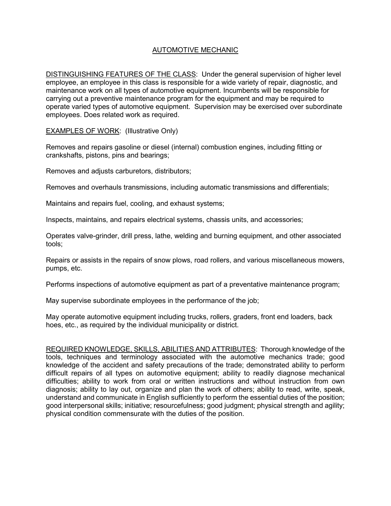## AUTOMOTIVE MECHANIC

DISTINGUISHING FEATURES OF THE CLASS: Under the general supervision of higher level employee, an employee in this class is responsible for a wide variety of repair, diagnostic, and maintenance work on all types of automotive equipment. Incumbents will be responsible for carrying out a preventive maintenance program for the equipment and may be required to operate varied types of automotive equipment. Supervision may be exercised over subordinate employees. Does related work as required.

EXAMPLES OF WORK: (Illustrative Only)

Removes and repairs gasoline or diesel (internal) combustion engines, including fitting or crankshafts, pistons, pins and bearings;

Removes and adjusts carburetors, distributors;

Removes and overhauls transmissions, including automatic transmissions and differentials;

Maintains and repairs fuel, cooling, and exhaust systems;

Inspects, maintains, and repairs electrical systems, chassis units, and accessories;

Operates valve-grinder, drill press, lathe, welding and burning equipment, and other associated tools;

Repairs or assists in the repairs of snow plows, road rollers, and various miscellaneous mowers, pumps, etc.

Performs inspections of automotive equipment as part of a preventative maintenance program;

May supervise subordinate employees in the performance of the job;

May operate automotive equipment including trucks, rollers, graders, front end loaders, back hoes, etc., as required by the individual municipality or district.

REQUIRED KNOWLEDGE, SKILLS, ABILITIES AND ATTRIBUTES: Thorough knowledge of the tools, techniques and terminology associated with the automotive mechanics trade; good knowledge of the accident and safety precautions of the trade; demonstrated ability to perform difficult repairs of all types on automotive equipment; ability to readily diagnose mechanical difficulties; ability to work from oral or written instructions and without instruction from own diagnosis; ability to lay out, organize and plan the work of others; ability to read, write, speak, understand and communicate in English sufficiently to perform the essential duties of the position; good interpersonal skills; initiative; resourcefulness; good judgment; physical strength and agility; physical condition commensurate with the duties of the position.